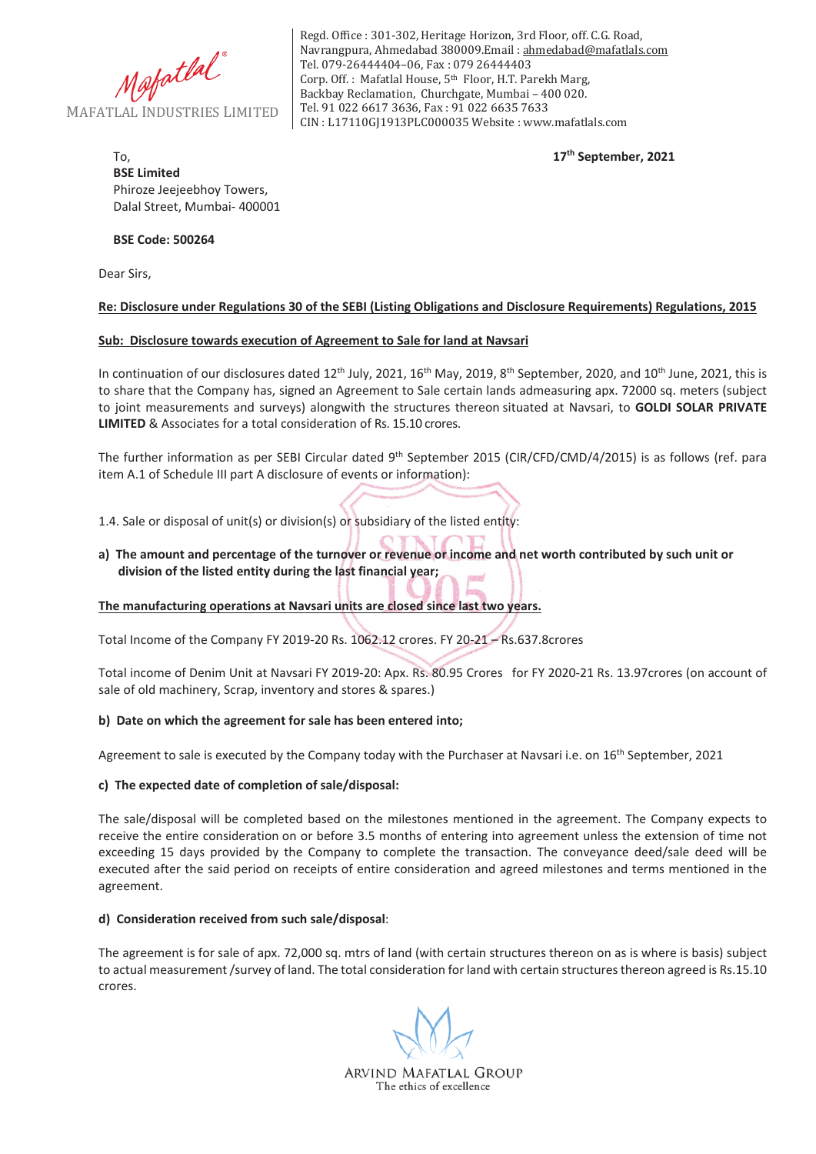

Regd. Office : 301-302, Heritage Horizon, 3rd Floor, off. C.G. Road, Navrangpura, Ahmedabad 380009.Email : ahmedabad@mafatlals.com Tel. 079-26444404–06, Fax : 079 26444403 Corp. Off. : Mafatlal House, 5th Floor, H.T. Parekh Marg, Backbay Reclamation, Churchgate, Mumbai – 400 020. Tel. 91 022 6617 3636, Fax : 91 022 6635 7633 CIN : L17110GJ1913PLC000035 Website : www.mafatlals.com

**17th September, 2021**

# To, **BSE Limited** Phiroze Jeejeebhoy Towers, Dalal Street, Mumbai- 400001

## **BSE Code: 500264**

Dear Sirs,

## **Re: Disclosure under Regulations 30 of the SEBI (Listing Obligations and Disclosure Requirements) Regulations, 2015**

## **Sub:Disclosure towards execution of Agreement to Sale for land at Navsari**

In continuation of our disclosures dated  $12^{th}$  July, 2021,  $16^{th}$  May, 2019,  $8^{th}$  September, 2020, and  $10^{th}$  June, 2021, this is to share that the Company has, signed an Agreement to Sale certain lands admeasuring apx. 72000 sq. meters (subject to joint measurements and surveys) alongwith the structures thereon situated at Navsari, to **GOLDI SOLAR PRIVATE LIMITED** & Associates for a total consideration of Rs. 15.10 crores.

The further information as per SEBI Circular dated 9<sup>th</sup> September 2015 (CIR/CFD/CMD/4/2015) is as follows (ref. para item A.1 of Schedule III part A disclosure of events or information):

1.4. Sale or disposal of unit(s) or division(s) or subsidiary of the listed entity:

a) The amount and percentage of the turnover or revenue or income and net worth contributed by such unit or **division of the listed entity during the last financial year;**

**The manufacturing operations at Navsari units are closed since last two years.**

Total Income of the Company FY 2019-20 Rs. 1062.12 crores. FY 20-21 - Rs.637.8crores

Total income of Denim Unit at Navsari FY 2019-20: Apx. Rs. 80.95 Crores for FY 2020-21 Rs. 13.97crores (on account of sale of old machinery, Scrap, inventory and stores & spares.)

### **b)Date on which the agreement for sale has been entered into;**

Agreement to sale is executed by the Company today with the Purchaser at Navsari i.e. on 16<sup>th</sup> September, 2021

### **c)The expected date of completion of sale/disposal:**

The sale/disposal will be completed based on the milestones mentioned in the agreement. The Company expects to receive the entire consideration on or before 3.5 months of entering into agreement unless the extension of time not exceeding 15 days provided by the Company to complete the transaction. The conveyance deed/sale deed will be executed after the said period on receipts of entire consideration and agreed milestones and terms mentioned in the agreement.

### **d)Consideration received from such sale/disposal**:

The agreement is for sale of apx. 72,000 sq. mtrs of land (with certain structures thereon on as is where is basis) subject to actual measurement/survey of land. The total consideration for land with certain structuresthereon agreed is Rs.15.10 crores.

ARVIND MAFATLAL GROUP The ethics of excellence